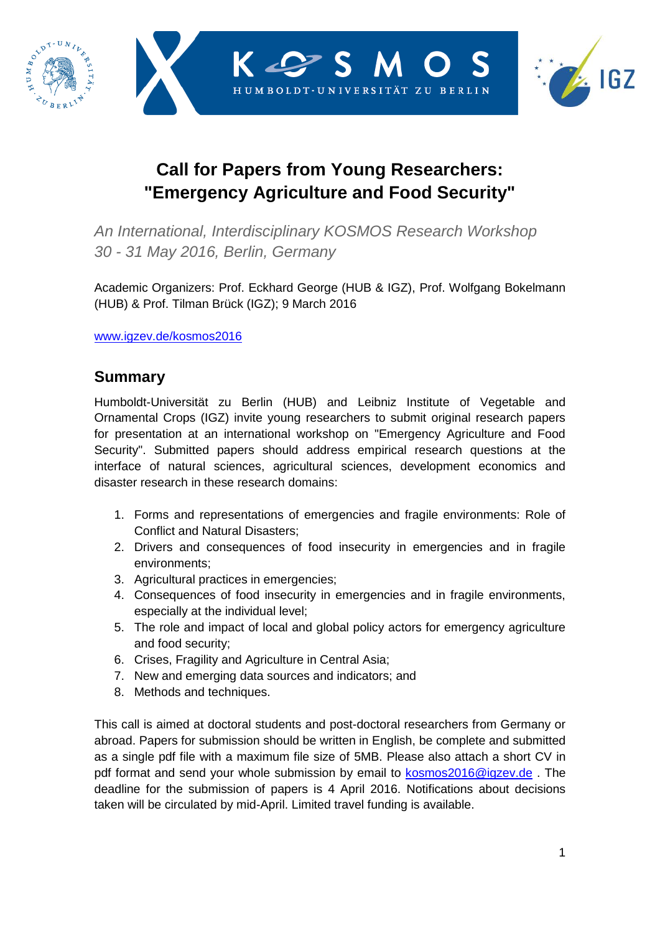





## **Call for Papers from Young Researchers: "Emergency Agriculture and Food Security"**

*An International, Interdisciplinary KOSMOS Research Workshop 30 - 31 May 2016, Berlin, Germany*

Academic Organizers: Prof. Eckhard George (HUB & IGZ), Prof. Wolfgang Bokelmann (HUB) & Prof. Tilman Brück (IGZ); 9 March 2016

[www.igzev.de/kosmos2016](http://www.igzev.de/kosmos2016)

## **Summary**

Humboldt-Universität zu Berlin (HUB) and Leibniz Institute of Vegetable and Ornamental Crops (IGZ) invite young researchers to submit original research papers for presentation at an international workshop on "Emergency Agriculture and Food Security". Submitted papers should address empirical research questions at the interface of natural sciences, agricultural sciences, development economics and disaster research in these research domains:

- 1. Forms and representations of emergencies and fragile environments: Role of Conflict and Natural Disasters;
- 2. Drivers and consequences of food insecurity in emergencies and in fragile environments;
- 3. Agricultural practices in emergencies;
- 4. Consequences of food insecurity in emergencies and in fragile environments, especially at the individual level;
- 5. The role and impact of local and global policy actors for emergency agriculture and food security;
- 6. Crises, Fragility and Agriculture in Central Asia;
- 7. New and emerging data sources and indicators; and
- 8. Methods and techniques.

This call is aimed at doctoral students and post-doctoral researchers from Germany or abroad. Papers for submission should be written in English, be complete and submitted as a single pdf file with a maximum file size of 5MB. Please also attach a short CV in pdf format and send your whole submission by email to [kosmos2016@igzev.de](mailto:kosmos2016@igzev.de). The deadline for the submission of papers is 4 April 2016. Notifications about decisions taken will be circulated by mid-April. Limited travel funding is available.